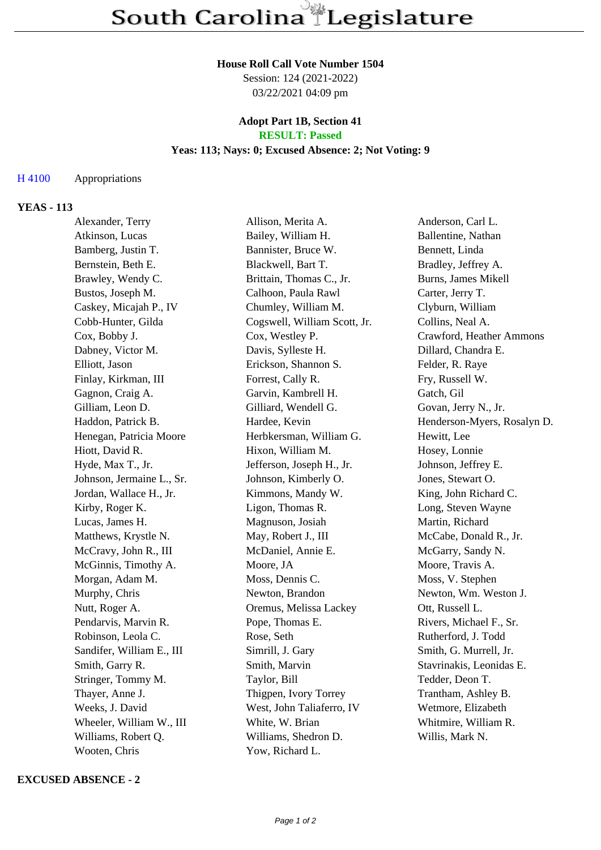#### **House Roll Call Vote Number 1504**

Session: 124 (2021-2022) 03/22/2021 04:09 pm

### **Adopt Part 1B, Section 41 RESULT: Passed**

# **Yeas: 113; Nays: 0; Excused Absence: 2; Not Voting: 9**

## H 4100 Appropriations

## **YEAS - 113**

| Alexander, Terry          | Allison, Merita A.           | Anderson, Carl L.           |
|---------------------------|------------------------------|-----------------------------|
| Atkinson, Lucas           | Bailey, William H.           | Ballentine, Nathan          |
| Bamberg, Justin T.        | Bannister, Bruce W.          | Bennett, Linda              |
| Bernstein, Beth E.        | Blackwell, Bart T.           | Bradley, Jeffrey A.         |
| Brawley, Wendy C.         | Brittain, Thomas C., Jr.     | <b>Burns, James Mikell</b>  |
| Bustos, Joseph M.         | Calhoon, Paula Rawl          | Carter, Jerry T.            |
| Caskey, Micajah P., IV    | Chumley, William M.          | Clyburn, William            |
| Cobb-Hunter, Gilda        | Cogswell, William Scott, Jr. | Collins, Neal A.            |
| Cox, Bobby J.             | Cox, Westley P.              | Crawford, Heather Ammons    |
| Dabney, Victor M.         | Davis, Sylleste H.           | Dillard, Chandra E.         |
| Elliott, Jason            | Erickson, Shannon S.         | Felder, R. Raye             |
| Finlay, Kirkman, III      | Forrest, Cally R.            | Fry, Russell W.             |
| Gagnon, Craig A.          | Garvin, Kambrell H.          | Gatch, Gil                  |
| Gilliam, Leon D.          | Gilliard, Wendell G.         | Govan, Jerry N., Jr.        |
| Haddon, Patrick B.        | Hardee, Kevin                | Henderson-Myers, Rosalyn D. |
| Henegan, Patricia Moore   | Herbkersman, William G.      | Hewitt, Lee                 |
| Hiott, David R.           | Hixon, William M.            | Hosey, Lonnie               |
| Hyde, Max T., Jr.         | Jefferson, Joseph H., Jr.    | Johnson, Jeffrey E.         |
| Johnson, Jermaine L., Sr. | Johnson, Kimberly O.         | Jones, Stewart O.           |
| Jordan, Wallace H., Jr.   | Kimmons, Mandy W.            | King, John Richard C.       |
| Kirby, Roger K.           | Ligon, Thomas R.             | Long, Steven Wayne          |
| Lucas, James H.           | Magnuson, Josiah             | Martin, Richard             |
| Matthews, Krystle N.      | May, Robert J., III          | McCabe, Donald R., Jr.      |
| McCravy, John R., III     | McDaniel, Annie E.           | McGarry, Sandy N.           |
| McGinnis, Timothy A.      | Moore, JA                    | Moore, Travis A.            |
| Morgan, Adam M.           | Moss, Dennis C.              | Moss, V. Stephen            |
| Murphy, Chris             | Newton, Brandon              | Newton, Wm. Weston J.       |
| Nutt, Roger A.            | Oremus, Melissa Lackey       | Ott, Russell L.             |
| Pendarvis, Marvin R.      | Pope, Thomas E.              | Rivers, Michael F., Sr.     |
| Robinson, Leola C.        | Rose, Seth                   | Rutherford, J. Todd         |
| Sandifer, William E., III | Simrill, J. Gary             | Smith, G. Murrell, Jr.      |
| Smith, Garry R.           | Smith, Marvin                | Stavrinakis, Leonidas E.    |
| Stringer, Tommy M.        | Taylor, Bill                 | Tedder, Deon T.             |
| Thayer, Anne J.           | Thigpen, Ivory Torrey        | Trantham, Ashley B.         |
| Weeks, J. David           | West, John Taliaferro, IV    | Wetmore, Elizabeth          |
| Wheeler, William W., III  | White, W. Brian              | Whitmire, William R.        |
| Williams, Robert Q.       | Williams, Shedron D.         | Willis, Mark N.             |
| Wooten, Chris             | Yow, Richard L.              |                             |

### **EXCUSED ABSENCE - 2**